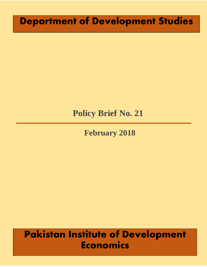# **Department of Development Studies**

# **Policy Brief No. 21**

**February 2018**

# **Pakistan Institute of Development Economics**